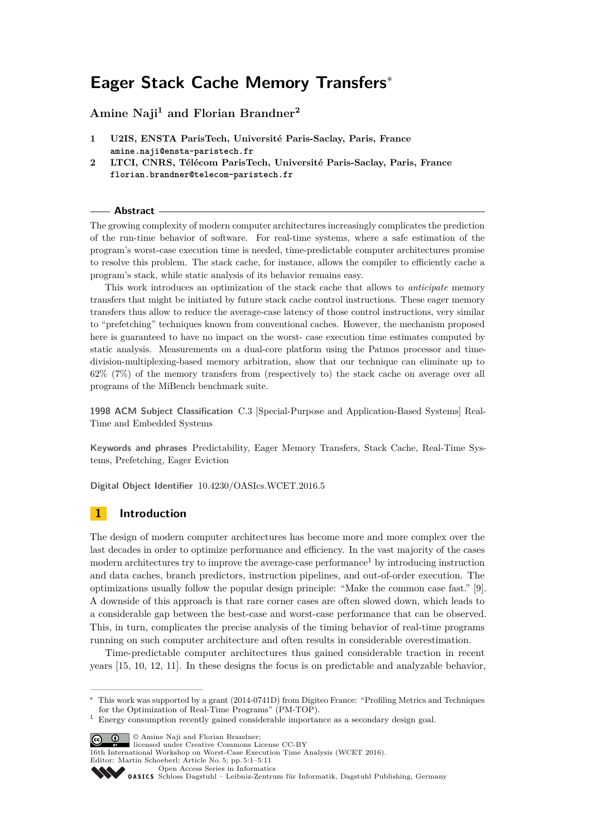# **Eager Stack Cache Memory Transfers**<sup>∗</sup>

# **Amine Naji<sup>1</sup> and Florian Brandner<sup>2</sup>**

- **1 U2IS, ENSTA ParisTech, Université Paris-Saclay, Paris, France amine.naji@ensta-paristech.fr**
- **2 LTCI, CNRS, Télécom ParisTech, Université Paris-Saclay, Paris, France florian.brandner@telecom-paristech.fr**

#### **Abstract**

The growing complexity of modern computer architectures increasingly complicates the prediction of the run-time behavior of software. For real-time systems, where a safe estimation of the program's worst-case execution time is needed, time-predictable computer architectures promise to resolve this problem. The stack cache, for instance, allows the compiler to efficiently cache a program's stack, while static analysis of its behavior remains easy.

This work introduces an optimization of the stack cache that allows to *anticipate* memory transfers that might be initiated by future stack cache control instructions. These eager memory transfers thus allow to reduce the average-case latency of those control instructions, very similar to "prefetching" techniques known from conventional caches. However, the mechanism proposed here is guaranteed to have no impact on the worst- case execution time estimates computed by static analysis. Measurements on a dual-core platform using the Patmos processor and timedivision-multiplexing-based memory arbitration, show that our technique can eliminate up to 62% (7%) of the memory transfers from (respectively to) the stack cache on average over all programs of the MiBench benchmark suite.

**1998 ACM Subject Classification** C.3 [Special-Purpose and Application-Based Systems] Real-Time and Embedded Systems

**Keywords and phrases** Predictability, Eager Memory Transfers, Stack Cache, Real-Time Systems, Prefetching, Eager Eviction

**Digital Object Identifier** [10.4230/OASIcs.WCET.2016.5](http://dx.doi.org/10.4230/OASIcs.WCET.2016.5)

## **1 Introduction**

The design of modern computer architectures has become more and more complex over the last decades in order to optimize performance and efficiency. In the vast majority of the cases modern architectures try to improve the average-case performance<sup>[1](#page-0-0)</sup> by introducing instruction and data caches, branch predictors, instruction pipelines, and out-of-order execution. The optimizations usually follow the popular design principle: "Make the common case fast." [\[9\]](#page-9-0). A downside of this approach is that rare corner cases are often slowed down, which leads to a considerable gap between the best-case and worst-case performance that can be observed. This, in turn, complicates the precise analysis of the timing behavior of real-time programs running on such computer architecture and often results in considerable overestimation.

Time-predictable computer architectures thus gained considerable traction in recent years [\[15,](#page-10-0) [10,](#page-9-1) [12,](#page-9-2) [11\]](#page-9-3). In these designs the focus is on predictable and analyzable behavior,

**C**  $\bullet$  **O** Amine Naji and Florian Brandner:

16th International Workshop on Worst-Case Execution Time Analysis (WCET 2016). Editor: Martin Schoeberl; Article No. 5; pp. 5:1–5[:11](#page-10-1)

[Open Access Series in Informatics](http://www.dagstuhl.de/oasics/)

<sup>∗</sup> This work was supported by a grant (2014-0741D) from Digiteo France: "Profiling Metrics and Techniques for the Optimization of Real-Time Programs" (PM-TOP).

<span id="page-0-0"></span><sup>1</sup> Energy consumption recently gained considerable importance as a secondary design goal.

licensed under Creative Commons License CC-BY

[Schloss Dagstuhl – Leibniz-Zentrum für Informatik, Dagstuhl Publishing, Germany](http://www.dagstuhl.de)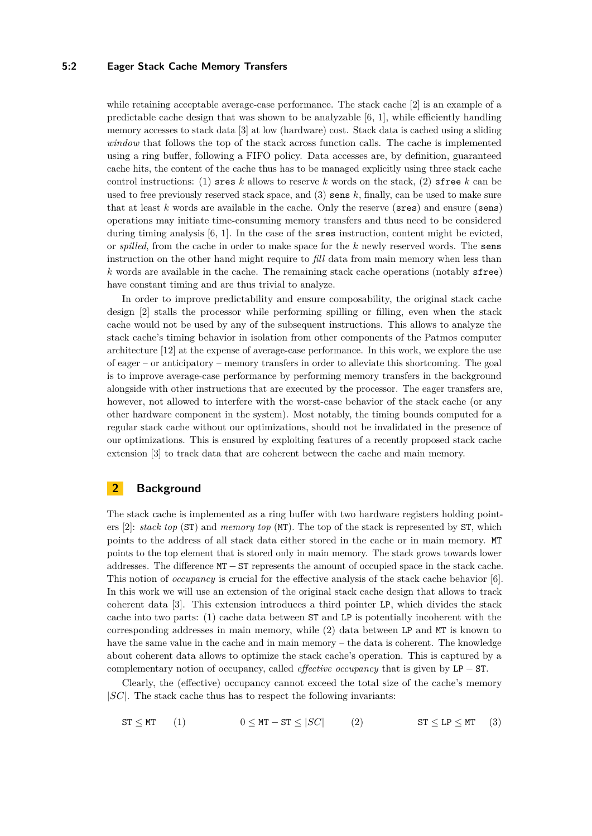## **5:2 Eager Stack Cache Memory Transfers**

while retaining acceptable average-case performance. The stack cache [\[2\]](#page-9-4) is an example of a predictable cache design that was shown to be analyzable  $[6, 1]$  $[6, 1]$  $[6, 1]$ , while efficiently handling memory accesses to stack data [\[3\]](#page-9-7) at low (hardware) cost. Stack data is cached using a sliding *window* that follows the top of the stack across function calls. The cache is implemented using a ring buffer, following a FIFO policy. Data accesses are, by definition, guaranteed cache hits, the content of the cache thus has to be managed explicitly using three stack cache control instructions: (1) sres *k* allows to reserve *k* words on the stack, (2) sfree *k* can be used to free previously reserved stack space, and  $(3)$  sens  $k$ , finally, can be used to make sure that at least *k* words are available in the cache. Only the reserve (sres) and ensure (sens) operations may initiate time-consuming memory transfers and thus need to be considered during timing analysis [\[6,](#page-9-5) [1\]](#page-9-6). In the case of the sres instruction, content might be evicted, or *spilled*, from the cache in order to make space for the *k* newly reserved words. The sens instruction on the other hand might require to *fill* data from main memory when less than *k* words are available in the cache. The remaining stack cache operations (notably sfree) have constant timing and are thus trivial to analyze.

In order to improve predictability and ensure composability, the original stack cache design [\[2\]](#page-9-4) stalls the processor while performing spilling or filling, even when the stack cache would not be used by any of the subsequent instructions. This allows to analyze the stack cache's timing behavior in isolation from other components of the Patmos computer architecture [\[12\]](#page-9-2) at the expense of average-case performance. In this work, we explore the use of eager – or anticipatory – memory transfers in order to alleviate this shortcoming. The goal is to improve average-case performance by performing memory transfers in the background alongside with other instructions that are executed by the processor. The eager transfers are, however, not allowed to interfere with the worst-case behavior of the stack cache (or any other hardware component in the system). Most notably, the timing bounds computed for a regular stack cache without our optimizations, should not be invalidated in the presence of our optimizations. This is ensured by exploiting features of a recently proposed stack cache extension [\[3\]](#page-9-7) to track data that are coherent between the cache and main memory.

# **2 Background**

The stack cache is implemented as a ring buffer with two hardware registers holding pointers [\[2\]](#page-9-4): *stack top* (ST) and *memory top* (MT). The top of the stack is represented by ST, which points to the address of all stack data either stored in the cache or in main memory. MT points to the top element that is stored only in main memory. The stack grows towards lower addresses. The difference MT − ST represents the amount of occupied space in the stack cache. This notion of *occupancy* is crucial for the effective analysis of the stack cache behavior [\[6\]](#page-9-5). In this work we will use an extension of the original stack cache design that allows to track coherent data [\[3\]](#page-9-7). This extension introduces a third pointer LP, which divides the stack cache into two parts: (1) cache data between ST and LP is potentially incoherent with the corresponding addresses in main memory, while (2) data between LP and MT is known to have the same value in the cache and in main memory – the data is coherent. The knowledge about coherent data allows to optimize the stack cache's operation. This is captured by a complementary notion of occupancy, called *effective occupancy* that is given by LP − ST.

Clearly, the (effective) occupancy cannot exceed the total size of the cache's memory |*SC*|. The stack cache thus has to respect the following invariants:

<span id="page-1-1"></span><span id="page-1-0"></span>
$$
\texttt{ST} \le \texttt{MT} \qquad (1) \qquad \qquad 0 \le \texttt{MT} - \texttt{ST} \le |SC| \qquad (2) \qquad \qquad \texttt{ST} \le \texttt{LP} \le \texttt{MT} \qquad (3)
$$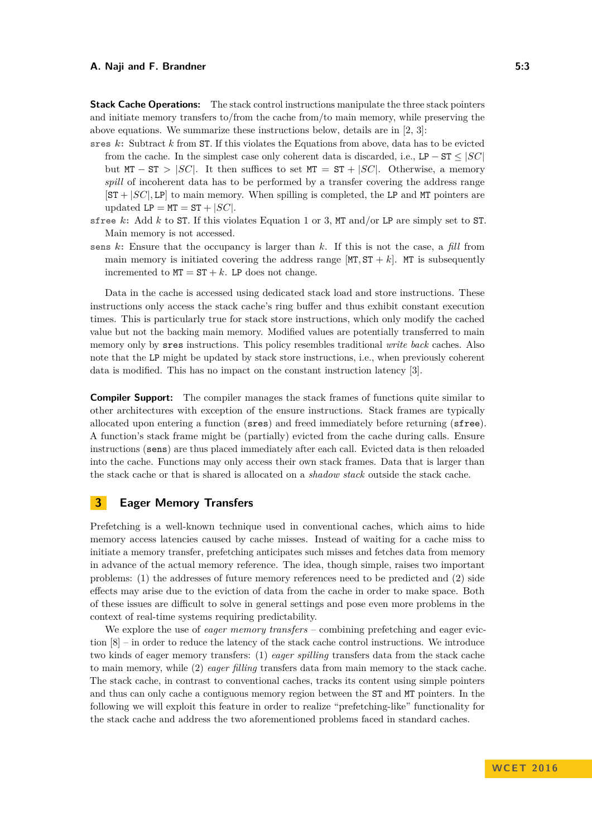**Stack Cache Operations:** The stack control instructions manipulate the three stack pointers and initiate memory transfers to/from the cache from/to main memory, while preserving the above equations. We summarize these instructions below, details are in [\[2,](#page-9-4) [3\]](#page-9-7):

- **sres** *k***:** Subtract *k* from ST. If this violates the Equations from above, data has to be evicted from the cache. In the simplest case only coherent data is discarded, i.e., LP –  $ST \leq |SC|$ but  $MT - ST > |SC|$ . It then suffices to set  $MT = ST + |SC|$ . Otherwise, a memory *spill* of incoherent data has to be performed by a transfer covering the address range  $[ST + |SC|, LP]$  to main memory. When spilling is completed, the LP and MT pointers are updated  $LP = MT = ST + |SC|$ .
- **sfree** *k***:** Add *k* to ST. If this violates Equation [1](#page-1-0) or [3,](#page-1-1) MT and/or LP are simply set to ST. Main memory is not accessed.
- **sens** *k***:** Ensure that the occupancy is larger than *k*. If this is not the case, a *fill* from main memory is initiated covering the address range  $[MT, ST + k]$ . MT is subsequently incremented to  $MT = ST + k$ . LP does not change.

Data in the cache is accessed using dedicated stack load and store instructions. These instructions only access the stack cache's ring buffer and thus exhibit constant execution times. This is particularly true for stack store instructions, which only modify the cached value but not the backing main memory. Modified values are potentially transferred to main memory only by sres instructions. This policy resembles traditional *write back* caches. Also note that the LP might be updated by stack store instructions, i.e., when previously coherent data is modified. This has no impact on the constant instruction latency [\[3\]](#page-9-7).

**Compiler Support:** The compiler manages the stack frames of functions quite similar to other architectures with exception of the ensure instructions. Stack frames are typically allocated upon entering a function (sres) and freed immediately before returning (sfree). A function's stack frame might be (partially) evicted from the cache during calls. Ensure instructions (sens) are thus placed immediately after each call. Evicted data is then reloaded into the cache. Functions may only access their own stack frames. Data that is larger than the stack cache or that is shared is allocated on a *shadow stack* outside the stack cache.

## **3 Eager Memory Transfers**

Prefetching is a well-known technique used in conventional caches, which aims to hide memory access latencies caused by cache misses. Instead of waiting for a cache miss to initiate a memory transfer, prefetching anticipates such misses and fetches data from memory in advance of the actual memory reference. The idea, though simple, raises two important problems: (1) the addresses of future memory references need to be predicted and (2) side effects may arise due to the eviction of data from the cache in order to make space. Both of these issues are difficult to solve in general settings and pose even more problems in the context of real-time systems requiring predictability.

We explore the use of *eager memory transfers* – combining prefetching and eager eviction [\[8\]](#page-9-8) – in order to reduce the latency of the stack cache control instructions. We introduce two kinds of eager memory transfers: (1) *eager spilling* transfers data from the stack cache to main memory, while (2) *eager filling* transfers data from main memory to the stack cache. The stack cache, in contrast to conventional caches, tracks its content using simple pointers and thus can only cache a contiguous memory region between the ST and MT pointers. In the following we will exploit this feature in order to realize "prefetching-like" functionality for the stack cache and address the two aforementioned problems faced in standard caches.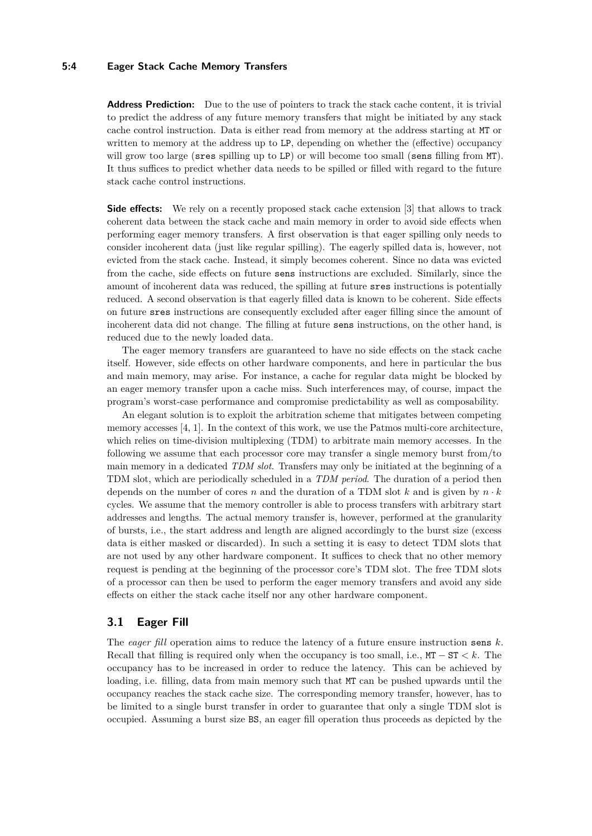## **5:4 Eager Stack Cache Memory Transfers**

**Address Prediction:** Due to the use of pointers to track the stack cache content, it is trivial to predict the address of any future memory transfers that might be initiated by any stack cache control instruction. Data is either read from memory at the address starting at MT or written to memory at the address up to LP, depending on whether the (effective) occupancy will grow too large (sres spilling up to LP) or will become too small (sens filling from MT). It thus suffices to predict whether data needs to be spilled or filled with regard to the future stack cache control instructions.

**Side effects:** We rely on a recently proposed stack cache extension [\[3\]](#page-9-7) that allows to track coherent data between the stack cache and main memory in order to avoid side effects when performing eager memory transfers. A first observation is that eager spilling only needs to consider incoherent data (just like regular spilling). The eagerly spilled data is, however, not evicted from the stack cache. Instead, it simply becomes coherent. Since no data was evicted from the cache, side effects on future sens instructions are excluded. Similarly, since the amount of incoherent data was reduced, the spilling at future sres instructions is potentially reduced. A second observation is that eagerly filled data is known to be coherent. Side effects on future sres instructions are consequently excluded after eager filling since the amount of incoherent data did not change. The filling at future sens instructions, on the other hand, is reduced due to the newly loaded data.

The eager memory transfers are guaranteed to have no side effects on the stack cache itself. However, side effects on other hardware components, and here in particular the bus and main memory, may arise. For instance, a cache for regular data might be blocked by an eager memory transfer upon a cache miss. Such interferences may, of course, impact the program's worst-case performance and compromise predictability as well as composability.

An elegant solution is to exploit the arbitration scheme that mitigates between competing memory accesses [\[4,](#page-9-9) [1\]](#page-9-6). In the context of this work, we use the Patmos multi-core architecture, which relies on time-division multiplexing (TDM) to arbitrate main memory accesses. In the following we assume that each processor core may transfer a single memory burst from/to main memory in a dedicated *TDM slot*. Transfers may only be initiated at the beginning of a TDM slot, which are periodically scheduled in a *TDM period*. The duration of a period then depends on the number of cores *n* and the duration of a TDM slot *k* and is given by *n* · *k* cycles. We assume that the memory controller is able to process transfers with arbitrary start addresses and lengths. The actual memory transfer is, however, performed at the granularity of bursts, i.e., the start address and length are aligned accordingly to the burst size (excess data is either masked or discarded). In such a setting it is easy to detect TDM slots that are not used by any other hardware component. It suffices to check that no other memory request is pending at the beginning of the processor core's TDM slot. The free TDM slots of a processor can then be used to perform the eager memory transfers and avoid any side effects on either the stack cache itself nor any other hardware component.

## **3.1 Eager Fill**

The *eager fill* operation aims to reduce the latency of a future ensure instruction sens *k*. Recall that filling is required only when the occupancy is too small, i.e., MT − ST *< k*. The occupancy has to be increased in order to reduce the latency. This can be achieved by loading, i.e. filling, data from main memory such that MT can be pushed upwards until the occupancy reaches the stack cache size. The corresponding memory transfer, however, has to be limited to a single burst transfer in order to guarantee that only a single TDM slot is occupied. Assuming a burst size BS, an eager fill operation thus proceeds as depicted by the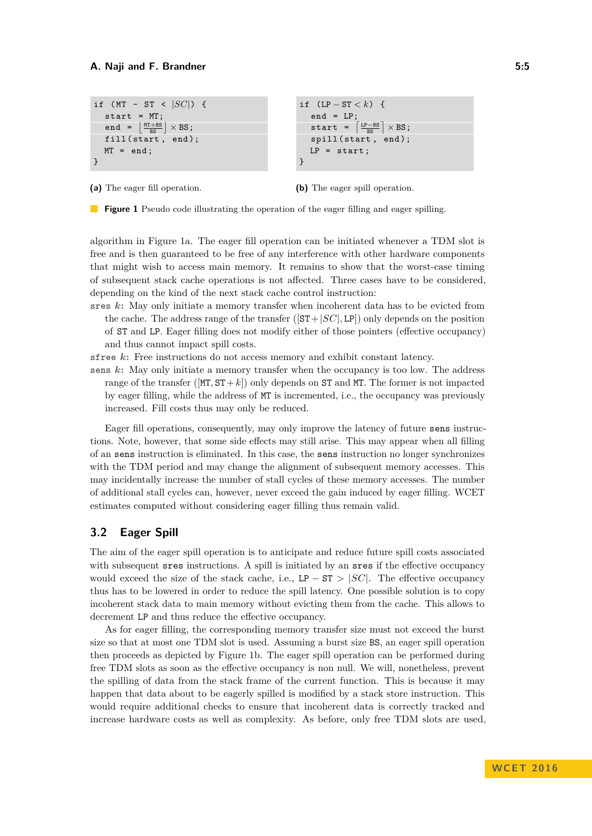```
if (MT - ST < |SC|) {
start = MT;end = \left[\frac{MT+BS}{BS}\right] \times BS;fill (start, end);
MT = end;}
                                                      if (LP - ST < k) {
                                                          end = LP;start = \left\lceil \frac{LP-BS}{BS} \right\rceil \times BS;spill (start, end);
                                                         LP = start;}
```
**(a)** The eager fill operation.

**(b)** The eager spill operation.

**Figure 1** Pseudo code illustrating the operation of the eager filling and eager spilling.

algorithm in Figure [1a.](#page-4-0) The eager fill operation can be initiated whenever a TDM slot is free and is then guaranteed to be free of any interference with other hardware components that might wish to access main memory. It remains to show that the worst-case timing of subsequent stack cache operations is not affected. Three cases have to be considered, depending on the kind of the next stack cache control instruction:

**sres** *k***:** May only initiate a memory transfer when incoherent data has to be evicted from the cache. The address range of the transfer  $(|ST+|SC|, LP|)$  only depends on the position of ST and LP. Eager filling does not modify either of those pointers (effective occupancy) and thus cannot impact spill costs.

**sfree** *k***:** Free instructions do not access memory and exhibit constant latency.

**sens** *k***:** May only initiate a memory transfer when the occupancy is too low. The address range of the transfer ( $[MT, ST+k]$ ) only depends on ST and MT. The former is not impacted by eager filling, while the address of MT is incremented, i.e., the occupancy was previously increased. Fill costs thus may only be reduced.

Eager fill operations, consequently, may only improve the latency of future sens instructions. Note, however, that some side effects may still arise. This may appear when all filling of an sens instruction is eliminated. In this case, the sens instruction no longer synchronizes with the TDM period and may change the alignment of subsequent memory accesses. This may incidentally increase the number of stall cycles of these memory accesses. The number of additional stall cycles can, however, never exceed the gain induced by eager filling. WCET estimates computed without considering eager filling thus remain valid.

## **3.2 Eager Spill**

The aim of the eager spill operation is to anticipate and reduce future spill costs associated with subsequent sres instructions. A spill is initiated by an sres if the effective occupancy would exceed the size of the stack cache, i.e.,  $LP - ST > |SC|$ . The effective occupancy thus has to be lowered in order to reduce the spill latency. One possible solution is to copy incoherent stack data to main memory without evicting them from the cache. This allows to decrement LP and thus reduce the effective occupancy.

As for eager filling, the corresponding memory transfer size must not exceed the burst size so that at most one TDM slot is used. Assuming a burst size BS, an eager spill operation then proceeds as depicted by Figure [1b.](#page-4-0) The eager spill operation can be performed during free TDM slots as soon as the effective occupancy is non null. We will, nonetheless, prevent the spilling of data from the stack frame of the current function. This is because it may happen that data about to be eagerly spilled is modified by a stack store instruction. This would require additional checks to ensure that incoherent data is correctly tracked and increase hardware costs as well as complexity. As before, only free TDM slots are used,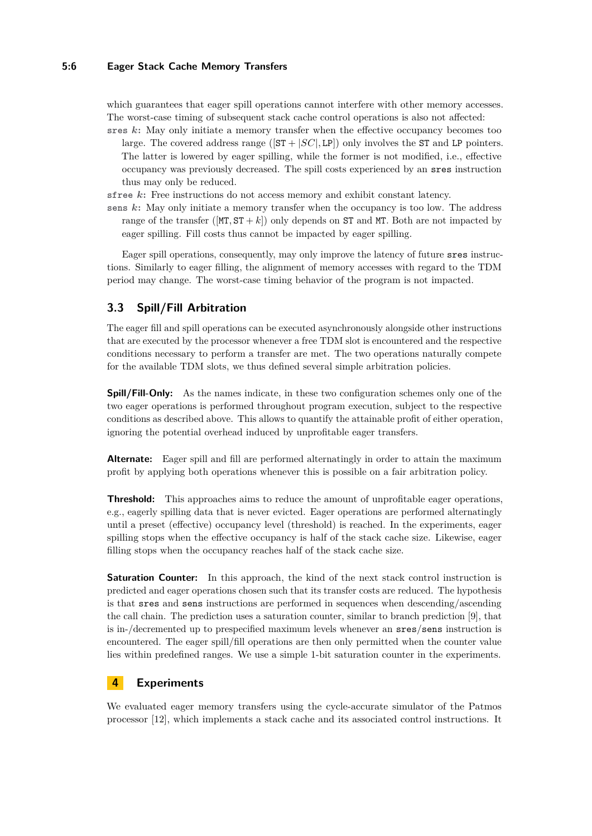## **5:6 Eager Stack Cache Memory Transfers**

which guarantees that eager spill operations cannot interfere with other memory accesses. The worst-case timing of subsequent stack cache control operations is also not affected:

**sres** *k***:** May only initiate a memory transfer when the effective occupancy becomes too large. The covered address range  $(|ST + |SC|, LP)$  only involves the ST and LP pointers. The latter is lowered by eager spilling, while the former is not modified, i.e., effective occupancy was previously decreased. The spill costs experienced by an sres instruction thus may only be reduced.

**sfree** *k***:** Free instructions do not access memory and exhibit constant latency.

**sens** *k***:** May only initiate a memory transfer when the occupancy is too low. The address range of the transfer ( $[MT, ST + k]$ ) only depends on **ST** and MT. Both are not impacted by eager spilling. Fill costs thus cannot be impacted by eager spilling.

Eager spill operations, consequently, may only improve the latency of future sres instructions. Similarly to eager filling, the alignment of memory accesses with regard to the TDM period may change. The worst-case timing behavior of the program is not impacted.

## **3.3 Spill/Fill Arbitration**

The eager fill and spill operations can be executed asynchronously alongside other instructions that are executed by the processor whenever a free TDM slot is encountered and the respective conditions necessary to perform a transfer are met. The two operations naturally compete for the available TDM slots, we thus defined several simple arbitration policies.

**Spill/Fill-Only:** As the names indicate, in these two configuration schemes only one of the two eager operations is performed throughout program execution, subject to the respective conditions as described above. This allows to quantify the attainable profit of either operation, ignoring the potential overhead induced by unprofitable eager transfers.

**Alternate:** Eager spill and fill are performed alternatingly in order to attain the maximum profit by applying both operations whenever this is possible on a fair arbitration policy.

**Threshold:** This approaches aims to reduce the amount of unprofitable eager operations, e.g., eagerly spilling data that is never evicted. Eager operations are performed alternatingly until a preset (effective) occupancy level (threshold) is reached. In the experiments, eager spilling stops when the effective occupancy is half of the stack cache size. Likewise, eager filling stops when the occupancy reaches half of the stack cache size.

**Saturation Counter:** In this approach, the kind of the next stack control instruction is predicted and eager operations chosen such that its transfer costs are reduced. The hypothesis is that sres and sens instructions are performed in sequences when descending/ascending the call chain. The prediction uses a saturation counter, similar to branch prediction [\[9\]](#page-9-0), that is in-/decremented up to prespecified maximum levels whenever an sres/sens instruction is encountered. The eager spill/fill operations are then only permitted when the counter value lies within predefined ranges. We use a simple 1-bit saturation counter in the experiments.

# **4 Experiments**

We evaluated eager memory transfers using the cycle-accurate simulator of the Patmos processor [\[12\]](#page-9-2), which implements a stack cache and its associated control instructions. It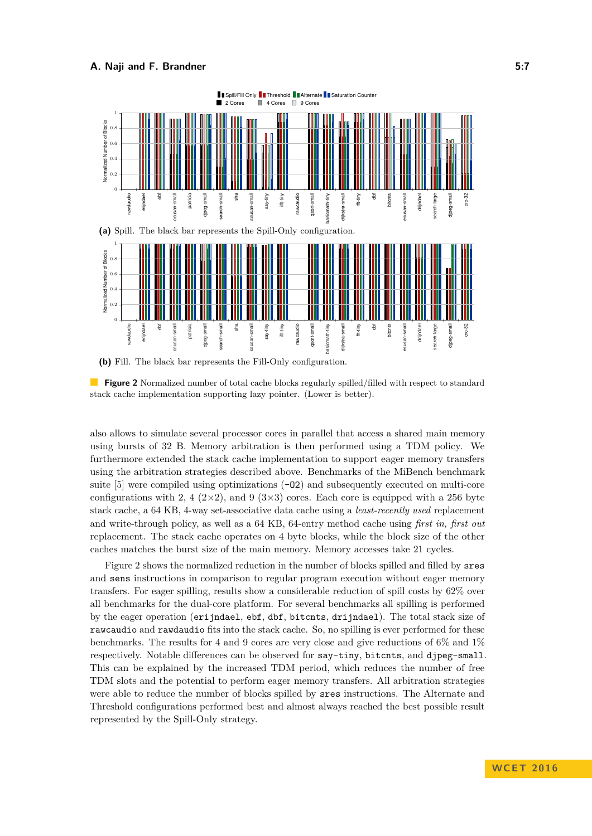<span id="page-6-0"></span>



also allows to simulate several processor cores in parallel that access a shared main memory using bursts of 32 B. Memory arbitration is then performed using a TDM policy. We furthermore extended the stack cache implementation to support eager memory transfers using the arbitration strategies described above. Benchmarks of the MiBench benchmark suite  $[5]$  were compiled using optimizations  $(-02)$  and subsequently executed on multi-core configurations with 2, 4 ( $2\times2$ ), and 9 ( $3\times3$ ) cores. Each core is equipped with a 256 byte stack cache, a 64 KB, 4-way set-associative data cache using a *least-recently used* replacement and write-through policy, as well as a 64 KB, 64-entry method cache using *first in, first out* replacement. The stack cache operates on 4 byte blocks, while the block size of the other caches matches the burst size of the main memory. Memory accesses take 21 cycles.

Figure [2](#page-6-0) shows the normalized reduction in the number of blocks spilled and filled by sres and sens instructions in comparison to regular program execution without eager memory transfers. For eager spilling, results show a considerable reduction of spill costs by 62% over all benchmarks for the dual-core platform. For several benchmarks all spilling is performed by the eager operation (erijndael, ebf, dbf, bitcnts, drijndael). The total stack size of rawcaudio and rawdaudio fits into the stack cache. So, no spilling is ever performed for these benchmarks. The results for 4 and 9 cores are very close and give reductions of  $6\%$  and  $1\%$ respectively. Notable differences can be observed for say-tiny, bitcnts, and djpeg-small. This can be explained by the increased TDM period, which reduces the number of free TDM slots and the potential to perform eager memory transfers. All arbitration strategies were able to reduce the number of blocks spilled by sres instructions. The Alternate and Threshold configurations performed best and almost always reached the best possible result represented by the Spill-Only strategy.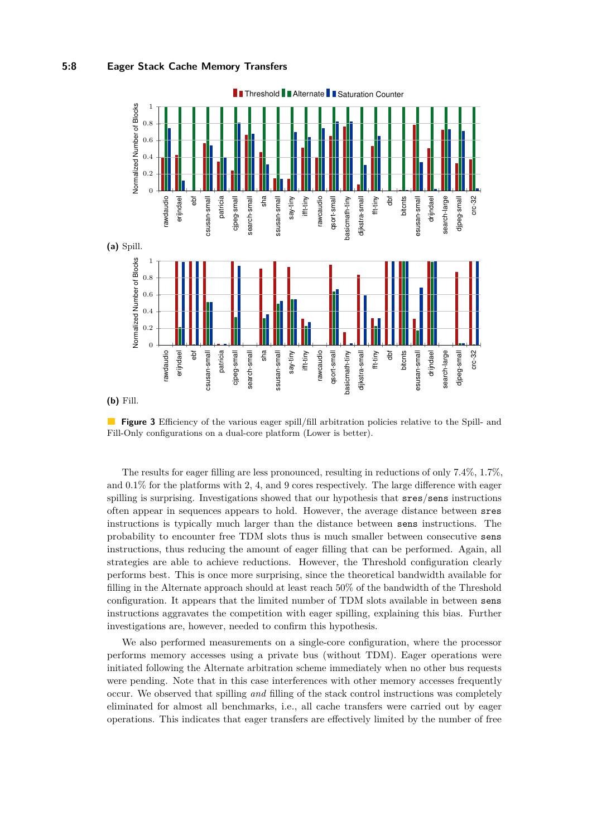## **5:8 Eager Stack Cache Memory Transfers**

<span id="page-7-0"></span>

**Figure 3** Efficiency of the various eager spill/fill arbitration policies relative to the Spill- and Fill-Only configurations on a dual-core platform (Lower is better).

The results for eager filling are less pronounced, resulting in reductions of only 7*.*4%, 1*.*7%, and 0*.*1% for the platforms with 2, 4, and 9 cores respectively. The large difference with eager spilling is surprising. Investigations showed that our hypothesis that  $sres/sens$  instructions often appear in sequences appears to hold. However, the average distance between sres instructions is typically much larger than the distance between sens instructions. The probability to encounter free TDM slots thus is much smaller between consecutive sens instructions, thus reducing the amount of eager filling that can be performed. Again, all strategies are able to achieve reductions. However, the Threshold configuration clearly performs best. This is once more surprising, since the theoretical bandwidth available for filling in the Alternate approach should at least reach 50% of the bandwidth of the Threshold configuration. It appears that the limited number of TDM slots available in between sens instructions aggravates the competition with eager spilling, explaining this bias. Further investigations are, however, needed to confirm this hypothesis.

We also performed measurements on a single-core configuration, where the processor performs memory accesses using a private bus (without TDM). Eager operations were initiated following the Alternate arbitration scheme immediately when no other bus requests were pending. Note that in this case interferences with other memory accesses frequently occur. We observed that spilling *and* filling of the stack control instructions was completely eliminated for almost all benchmarks, i.e., all cache transfers were carried out by eager operations. This indicates that eager transfers are effectively limited by the number of free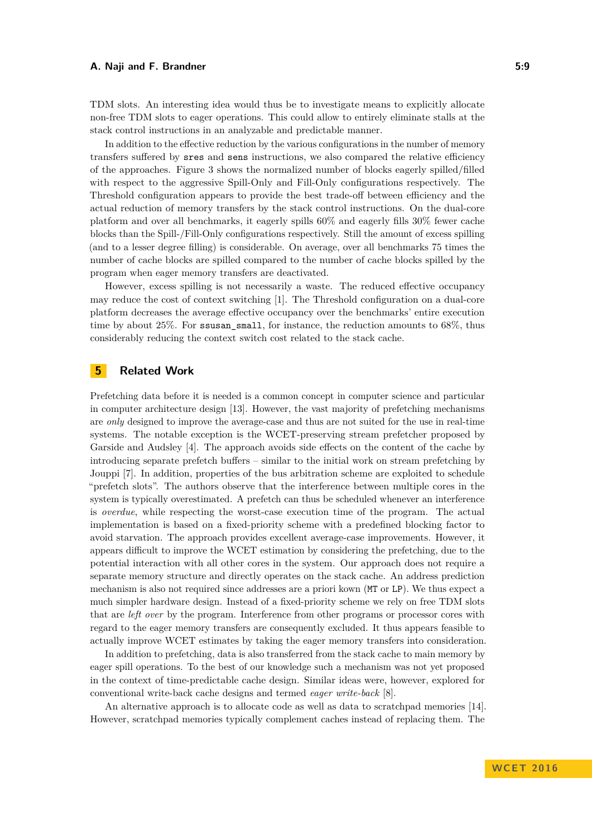TDM slots. An interesting idea would thus be to investigate means to explicitly allocate non-free TDM slots to eager operations. This could allow to entirely eliminate stalls at the stack control instructions in an analyzable and predictable manner.

In addition to the effective reduction by the various configurations in the number of memory transfers suffered by sres and sens instructions, we also compared the relative efficiency of the approaches. Figure [3](#page-7-0) shows the normalized number of blocks eagerly spilled/filled with respect to the aggressive Spill-Only and Fill-Only configurations respectively. The Threshold configuration appears to provide the best trade-off between efficiency and the actual reduction of memory transfers by the stack control instructions. On the dual-core platform and over all benchmarks, it eagerly spills 60% and eagerly fills 30% fewer cache blocks than the Spill-/Fill-Only configurations respectively. Still the amount of excess spilling (and to a lesser degree filling) is considerable. On average, over all benchmarks 75 times the number of cache blocks are spilled compared to the number of cache blocks spilled by the program when eager memory transfers are deactivated.

However, excess spilling is not necessarily a waste. The reduced effective occupancy may reduce the cost of context switching [\[1\]](#page-9-6). The Threshold configuration on a dual-core platform decreases the average effective occupancy over the benchmarks' entire execution time by about 25%. For ssusan\_small, for instance, the reduction amounts to 68%, thus considerably reducing the context switch cost related to the stack cache.

# **5 Related Work**

Prefetching data before it is needed is a common concept in computer science and particular in computer architecture design [\[13\]](#page-10-2). However, the vast majority of prefetching mechanisms are *only* designed to improve the average-case and thus are not suited for the use in real-time systems. The notable exception is the WCET-preserving stream prefetcher proposed by Garside and Audsley [\[4\]](#page-9-9). The approach avoids side effects on the content of the cache by introducing separate prefetch buffers – similar to the initial work on stream prefetching by Jouppi [\[7\]](#page-9-11). In addition, properties of the bus arbitration scheme are exploited to schedule "prefetch slots". The authors observe that the interference between multiple cores in the system is typically overestimated. A prefetch can thus be scheduled whenever an interference is *overdue*, while respecting the worst-case execution time of the program. The actual implementation is based on a fixed-priority scheme with a predefined blocking factor to avoid starvation. The approach provides excellent average-case improvements. However, it appears difficult to improve the WCET estimation by considering the prefetching, due to the potential interaction with all other cores in the system. Our approach does not require a separate memory structure and directly operates on the stack cache. An address prediction mechanism is also not required since addresses are a priori kown (MT or LP). We thus expect a much simpler hardware design. Instead of a fixed-priority scheme we rely on free TDM slots that are *left over* by the program. Interference from other programs or processor cores with regard to the eager memory transfers are consequently excluded. It thus appears feasible to actually improve WCET estimates by taking the eager memory transfers into consideration.

In addition to prefetching, data is also transferred from the stack cache to main memory by eager spill operations. To the best of our knowledge such a mechanism was not yet proposed in the context of time-predictable cache design. Similar ideas were, however, explored for conventional write-back cache designs and termed *eager write-back* [\[8\]](#page-9-8).

An alternative approach is to allocate code as well as data to scratchpad memories [\[14\]](#page-10-3). However, scratchpad memories typically complement caches instead of replacing them. The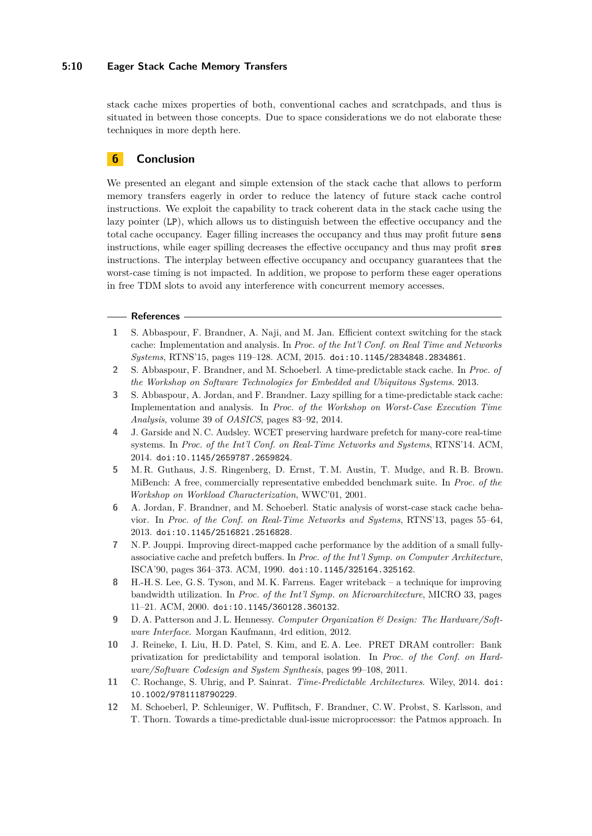## **5:10 Eager Stack Cache Memory Transfers**

stack cache mixes properties of both, conventional caches and scratchpads, and thus is situated in between those concepts. Due to space considerations we do not elaborate these techniques in more depth here.

# **6 Conclusion**

We presented an elegant and simple extension of the stack cache that allows to perform memory transfers eagerly in order to reduce the latency of future stack cache control instructions. We exploit the capability to track coherent data in the stack cache using the lazy pointer (LP), which allows us to distinguish between the effective occupancy and the total cache occupancy. Eager filling increases the occupancy and thus may profit future sens instructions, while eager spilling decreases the effective occupancy and thus may profit sres instructions. The interplay between effective occupancy and occupancy guarantees that the worst-case timing is not impacted. In addition, we propose to perform these eager operations in free TDM slots to avoid any interference with concurrent memory accesses.

#### **References**

- <span id="page-9-6"></span>**1** S. Abbaspour, F. Brandner, A. Naji, and M. Jan. Efficient context switching for the stack cache: Implementation and analysis. In *Proc. of the Int'l Conf. on Real Time and Networks Systems*, RTNS'15, pages 119–128. ACM, 2015. [doi:10.1145/2834848.2834861](http://dx.doi.org/10.1145/2834848.2834861).
- <span id="page-9-4"></span>**2** S. Abbaspour, F. Brandner, and M. Schoeberl. A time-predictable stack cache. In *Proc. of the Workshop on Software Technologies for Embedded and Ubiquitous Systems*. 2013.
- <span id="page-9-7"></span>**3** S. Abbaspour, A. Jordan, and F. Brandner. Lazy spilling for a time-predictable stack cache: Implementation and analysis. In *Proc. of the Workshop on Worst-Case Execution Time Analysis*, volume 39 of *OASICS*, pages 83–92, 2014.
- <span id="page-9-9"></span>**4** J. Garside and N. C. Audsley. WCET preserving hardware prefetch for many-core real-time systems. In *Proc. of the Int'l Conf. on Real-Time Networks and Systems*, RTNS'14. ACM, 2014. [doi:10.1145/2659787.2659824](http://dx.doi.org/10.1145/2659787.2659824).
- <span id="page-9-10"></span>**5** M. R. Guthaus, J. S. Ringenberg, D. Ernst, T. M. Austin, T. Mudge, and R. B. Brown. MiBench: A free, commercially representative embedded benchmark suite. In *Proc. of the Workshop on Workload Characterization*, WWC'01, 2001.
- <span id="page-9-5"></span>**6** A. Jordan, F. Brandner, and M. Schoeberl. Static analysis of worst-case stack cache behavior. In *Proc. of the Conf. on Real-Time Networks and Systems*, RTNS'13, pages 55–64, 2013. [doi:10.1145/2516821.2516828](http://dx.doi.org/10.1145/2516821.2516828).
- <span id="page-9-11"></span>**7** N. P. Jouppi. Improving direct-mapped cache performance by the addition of a small fullyassociative cache and prefetch buffers. In *Proc. of the Int'l Symp. on Computer Architecture*, ISCA'90, pages 364–373. ACM, 1990. [doi:10.1145/325164.325162](http://dx.doi.org/10.1145/325164.325162).
- <span id="page-9-8"></span>**8** H.-H. S. Lee, G. S. Tyson, and M. K. Farrens. Eager writeback – a technique for improving bandwidth utilization. In *Proc. of the Int'l Symp. on Microarchitecture*, MICRO 33, pages 11–21. ACM, 2000. [doi:10.1145/360128.360132](http://dx.doi.org/10.1145/360128.360132).
- <span id="page-9-0"></span>**9** D. A. Patterson and J. L. Hennessy. *Computer Organization & Design: The Hardware/Software Interface*. Morgan Kaufmann, 4rd edition, 2012.
- <span id="page-9-1"></span>**10** J. Reineke, I. Liu, H. D. Patel, S. Kim, and E. A. Lee. PRET DRAM controller: Bank privatization for predictability and temporal isolation. In *Proc. of the Conf. on Hardware/Software Codesign and System Synthesis*, pages 99–108, 2011.
- <span id="page-9-3"></span>**11** C. Rochange, S. Uhrig, and P. Sainrat. *Time-Predictable Architectures*. Wiley, 2014. [doi:](http://dx.doi.org/10.1002/9781118790229) [10.1002/9781118790229](http://dx.doi.org/10.1002/9781118790229).
- <span id="page-9-2"></span>**12** M. Schoeberl, P. Schleuniger, W. Puffitsch, F. Brandner, C.W. Probst, S. Karlsson, and T. Thorn. Towards a time-predictable dual-issue microprocessor: the Patmos approach. In